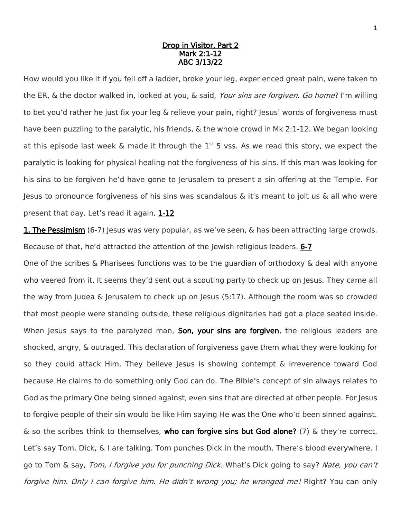## Drop in Visitor, Part 2 Mark 2:1-12 ABC 3/13/22

How would you like it if you fell off a ladder, broke your leg, experienced great pain, were taken to the ER, & the doctor walked in, looked at you, & said, Your sins are forgiven. Go home? I'm willing to bet you'd rather he just fix your leg & relieve your pain, right? Jesus' words of forgiveness must have been puzzling to the paralytic, his friends, & the whole crowd in Mk 2:1-12. We began looking at this episode last week & made it through the  $1<sup>st</sup>$  5 vss. As we read this story, we expect the paralytic is looking for physical healing not the forgiveness of his sins. If this man was looking for his sins to be forgiven he'd have gone to Jerusalem to present a sin offering at the Temple. For Jesus to pronounce forgiveness of his sins was scandalous & it's meant to jolt us & all who were present that day. Let's read it again. 1-12

**1. The Pessimism** (6-7) Jesus was very popular, as we've seen, & has been attracting large crowds. Because of that, he'd attracted the attention of the Jewish religious leaders. 6-7

One of the scribes & Pharisees functions was to be the guardian of orthodoxy & deal with anyone who veered from it. It seems they'd sent out a scouting party to check up on Jesus. They came all the way from Judea & Jerusalem to check up on Jesus (5:17). Although the room was so crowded that most people were standing outside, these religious dignitaries had got a place seated inside. When Jesus says to the paralyzed man, Son, your sins are forgiven, the religious leaders are shocked, angry, & outraged. This declaration of forgiveness gave them what they were looking for so they could attack Him. They believe Jesus is showing contempt & irreverence toward God because He claims to do something only God can do. The Bible's concept of sin always relates to God as the primary One being sinned against, even sins that are directed at other people. For Jesus to forgive people of their sin would be like Him saying He was the One who'd been sinned against.  $\&$  so the scribes think to themselves, who can forgive sins but God alone? (7)  $\&$  they're correct. Let's say Tom, Dick, & I are talking. Tom punches Dick in the mouth. There's blood everywhere. I go to Tom & say, Tom, I forgive you for punching Dick. What's Dick going to say? Nate, you can't forgive him. Only I can forgive him. He didn't wrong you; he wronged me! Right? You can only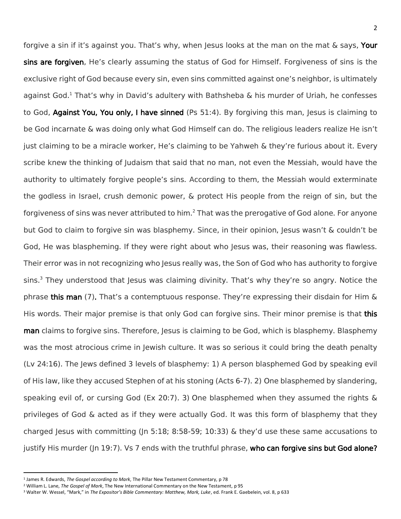forgive a sin if it's against you. That's why, when Jesus looks at the man on the mat & says, Your sins are forgiven, He's clearly assuming the status of God for Himself. Forgiveness of sins is the exclusive right of God because every sin, even sins committed against one's neighbor, is ultimately against God.<sup>1</sup> That's why in David's adultery with Bathsheba & his murder of Uriah, he confesses to God, **Against You, You only, I have sinned** (Ps 51:4). By forgiving this man, Jesus is claiming to be God incarnate & was doing only what God Himself can do. The religious leaders realize He isn't just claiming to be a miracle worker, He's claiming to be Yahweh & they're furious about it. Every scribe knew the thinking of Judaism that said that no man, not even the Messiah, would have the authority to ultimately forgive people's sins. According to them, the Messiah would exterminate the godless in Israel, crush demonic power, & protect His people from the reign of sin, but the forgiveness of sins was never attributed to him.<sup>2</sup> That was the prerogative of God alone. For anyone but God to claim to forgive sin was blasphemy. Since, in their opinion, Jesus wasn't & couldn't be God, He was blaspheming. If they were right about who Jesus was, their reasoning was flawless. Their error was in not recognizing who Jesus really was, the Son of God who has authority to forgive sins.<sup>3</sup> They understood that Jesus was claiming divinity. That's why they're so angry. Notice the phrase this man (7). That's a contemptuous response. They're expressing their disdain for Him & His words. Their major premise is that only God can forgive sins. Their minor premise is that this man claims to forgive sins. Therefore, Jesus is claiming to be God, which is blasphemy. Blasphemy was the most atrocious crime in Jewish culture. It was so serious it could bring the death penalty (Lv 24:16). The Jews defined 3 levels of blasphemy: 1) A person blasphemed God by speaking evil of His law, like they accused Stephen of at his stoning (Acts 6-7). 2) One blasphemed by slandering, speaking evil of, or cursing God (Ex 20:7). 3) One blasphemed when they assumed the rights  $\&$ privileges of God & acted as if they were actually God. It was this form of blasphemy that they charged Jesus with committing (Jn 5:18; 8:58-59; 10:33) & they'd use these same accusations to justify His murder (Jn 19:7). Vs 7 ends with the truthful phrase, who can forgive sins but God alone?

 $\overline{\phantom{a}}$ 

<sup>1</sup> James R. Edwards, *The Gospel according to Mark*, The Pillar New Testament Commentary, p 78

<sup>2</sup> William L. Lane, *The Gospel of Mark*, The New International Commentary on the New Testament, p 95

<sup>3</sup> Walter W. Wessel, "Mark," in *The Expositor's Bible Commentary: Matthew, Mark, Luke*, ed. Frank E. Gaebelein, vol. 8, p 633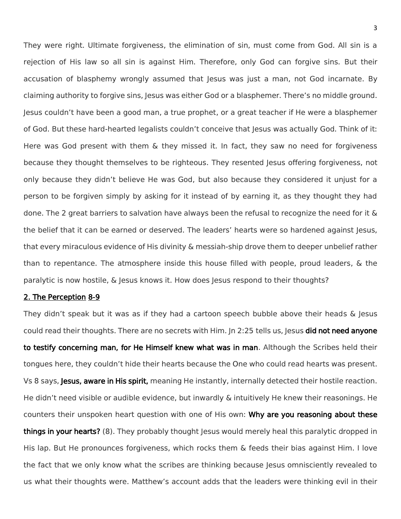They were right. Ultimate forgiveness, the elimination of sin, must come from God. All sin is a rejection of His law so all sin is against Him. Therefore, only God can forgive sins. But their accusation of blasphemy wrongly assumed that Jesus was just a man, not God incarnate. By claiming authority to forgive sins, Jesus was either God or a blasphemer. There's no middle ground. Jesus couldn't have been a good man, a true prophet, or a great teacher if He were a blasphemer of God. But these hard-hearted legalists couldn't conceive that Jesus was actually God. Think of it: Here was God present with them & they missed it. In fact, they saw no need for forgiveness because they thought themselves to be righteous. They resented Jesus offering forgiveness, not only because they didn't believe He was God, but also because they considered it unjust for a person to be forgiven simply by asking for it instead of by earning it, as they thought they had done. The 2 great barriers to salvation have always been the refusal to recognize the need for it & the belief that it can be earned or deserved. The leaders' hearts were so hardened against Jesus, that every miraculous evidence of His divinity & messiah-ship drove them to deeper unbelief rather than to repentance. The atmosphere inside this house filled with people, proud leaders, & the paralytic is now hostile, & Jesus knows it. How does Jesus respond to their thoughts?

## 2. The Perception 8-9

They didn't speak but it was as if they had a cartoon speech bubble above their heads & Jesus could read their thoughts. There are no secrets with Him. Jn 2:25 tells us, Jesus **did not need anyone** to testify concerning man, for He Himself knew what was in man. Although the Scribes held their tongues here, they couldn't hide their hearts because the One who could read hearts was present. Vs 8 says, Jesus, aware in His spirit, meaning He instantly, internally detected their hostile reaction. He didn't need visible or audible evidence, but inwardly & intuitively He knew their reasonings. He counters their unspoken heart question with one of His own: Why are you reasoning about these things in your hearts? (8). They probably thought Jesus would merely heal this paralytic dropped in His lap. But He pronounces forgiveness, which rocks them & feeds their bias against Him. I love the fact that we only know what the scribes are thinking because Jesus omnisciently revealed to us what their thoughts were. Matthew's account adds that the leaders were thinking evil in their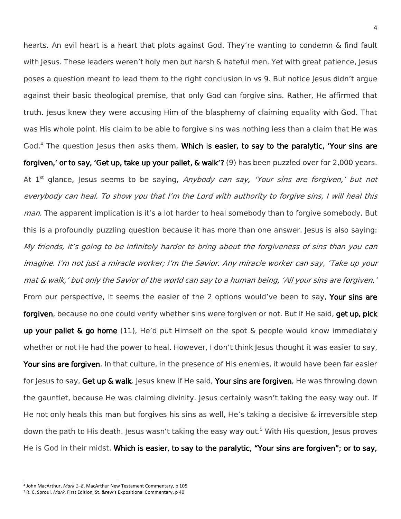hearts. An evil heart is a heart that plots against God. They're wanting to condemn & find fault with Jesus. These leaders weren't holy men but harsh & hateful men. Yet with great patience, Jesus poses a question meant to lead them to the right conclusion in vs 9. But notice Jesus didn't argue against their basic theological premise, that only God can forgive sins. Rather, He affirmed that truth. Jesus knew they were accusing Him of the blasphemy of claiming equality with God. That was His whole point. His claim to be able to forgive sins was nothing less than a claim that He was God.<sup>4</sup> The question Jesus then asks them, Which is easier, to say to the paralytic, 'Your sins are forgiven,' or to say, 'Get up, take up your pallet, & walk'? (9) has been puzzled over for 2,000 years. At 1<sup>st</sup> glance, Jesus seems to be saying, *Anybody can say, 'Your sins are forgiven,' but not* everybody can heal. To show you that I'm the Lord with authority to forgive sins, I will heal this *man.* The apparent implication is it's a lot harder to heal somebody than to forgive somebody. But this is a profoundly puzzling question because it has more than one answer. Jesus is also saying: My friends, it's going to be infinitely harder to bring about the forgiveness of sins than you can imagine. I'm not just a miracle worker; I'm the Savior. Any miracle worker can say, 'Take up your mat & walk,' but only the Savior of the world can say to a human being, 'All your sins are forgiven.' From our perspective, it seems the easier of the 2 options would've been to say, Your sins are forgiven, because no one could verify whether sins were forgiven or not. But if He said, get up, pick up your pallet  $\&$  go home (11), He'd put Himself on the spot  $\&$  people would know immediately whether or not He had the power to heal. However, I don't think Jesus thought it was easier to say, Your sins are forgiven. In that culture, in the presence of His enemies, it would have been far easier for Jesus to say, Get up & walk. Jesus knew if He said, Your sins are forgiven, He was throwing down the gauntlet, because He was claiming divinity. Jesus certainly wasn't taking the easy way out. If He not only heals this man but forgives his sins as well, He's taking a decisive & irreversible step down the path to His death. Jesus wasn't taking the easy way out.<sup>5</sup> With His question, Jesus proves He is God in their midst. Which is easier, to say to the paralytic, "Your sins are forgiven"; or to say,

 $\overline{\phantom{a}}$ 

<sup>4</sup> John MacArthur, *Mark 1–8*, MacArthur New Testament Commentary, p 105

<sup>5</sup> R. C. Sproul, *Mark*, First Edition, St. &rew's Expositional Commentary, p 40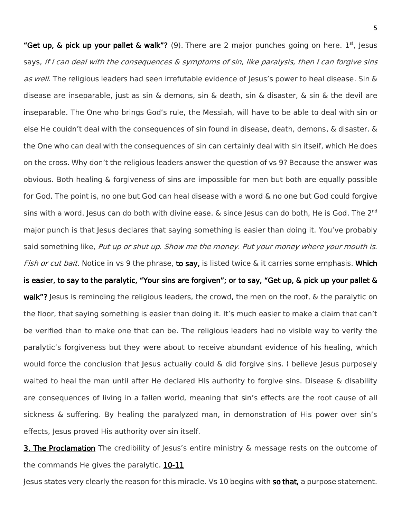"Get up, & pick up your pallet & walk"? (9). There are 2 major punches going on here.  $1^{st}$ , Jesus says, If I can deal with the consequences & symptoms of sin, like paralysis, then I can forgive sins as well. The religious leaders had seen irrefutable evidence of Jesus's power to heal disease. Sin & disease are inseparable, just as sin & demons, sin & death, sin & disaster, & sin & the devil are inseparable. The One who brings God's rule, the Messiah, will have to be able to deal with sin or else He couldn't deal with the consequences of sin found in disease, death, demons, & disaster. & the One who can deal with the consequences of sin can certainly deal with sin itself, which He does on the cross. Why don't the religious leaders answer the question of vs 9? Because the answer was obvious. Both healing & forgiveness of sins are impossible for men but both are equally possible for God. The point is, no one but God can heal disease with a word & no one but God could forgive sins with a word. Jesus can do both with divine ease. & since Jesus can do both, He is God. The 2<sup>nd</sup> major punch is that Jesus declares that saying something is easier than doing it. You've probably said something like, Put up or shut up. Show me the money. Put your money where your mouth is. Fish or cut bait. Notice in vs 9 the phrase, to say, is listed twice & it carries some emphasis. Which is easier, to say to the paralytic, "Your sins are forgiven"; or to say, "Get up, & pick up your pallet & walk"? Jesus is reminding the religious leaders, the crowd, the men on the roof, & the paralytic on the floor, that saying something is easier than doing it. It's much easier to make a claim that can't be verified than to make one that can be. The religious leaders had no visible way to verify the paralytic's forgiveness but they were about to receive abundant evidence of his healing, which would force the conclusion that Jesus actually could & did forgive sins. I believe Jesus purposely waited to heal the man until after He declared His authority to forgive sins. Disease & disability are consequences of living in a fallen world, meaning that sin's effects are the root cause of all sickness & suffering. By healing the paralyzed man, in demonstration of His power over sin's effects, Jesus proved His authority over sin itself.

**3. The Proclamation** The credibility of Jesus's entire ministry & message rests on the outcome of the commands He gives the paralytic. 10-11

Jesus states very clearly the reason for this miracle. Vs 10 begins with so that, a purpose statement.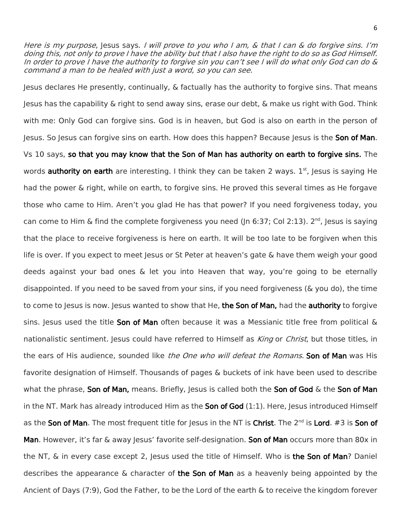Here is my purpose, Jesus says. I will prove to you who I am, & that I can & do forgive sins. I'm doing this, not only to prove I have the ability but that I also have the right to do so as God Himself. In order to prove I have the authority to forgive sin you can't see I will do what only God can do & command a man to be healed with just a word, so you can see.

Jesus declares He presently, continually, & factually has the authority to forgive sins. That means Jesus has the capability & right to send away sins, erase our debt, & make us right with God. Think with me: Only God can forgive sins. God is in heaven, but God is also on earth in the person of Jesus. So Jesus can forgive sins on earth. How does this happen? Because Jesus is the Son of Man. Vs 10 says, so that you may know that the Son of Man has authority on earth to forgive sins. The words **authority on earth** are interesting. I think they can be taken 2 ways. 1<sup>st</sup>, Jesus is saying He had the power & right, while on earth, to forgive sins. He proved this several times as He forgave those who came to Him. Aren't you glad He has that power? If you need forgiveness today, you can come to Him & find the complete forgiveness you need (Jn 6:37; Col 2:13).  $2^{nd}$ , Jesus is saying that the place to receive forgiveness is here on earth. It will be too late to be forgiven when this life is over. If you expect to meet Jesus or St Peter at heaven's gate & have them weigh your good deeds against your bad ones & let you into Heaven that way, you're going to be eternally disappointed. If you need to be saved from your sins, if you need forgiveness (& you do), the time to come to Jesus is now. Jesus wanted to show that He, the Son of Man, had the authority to forgive sins. Jesus used the title **Son of Man** often because it was a Messianic title free from political  $\&$ nationalistic sentiment. Jesus could have referred to Himself as *King* or *Christ*, but those titles, in the ears of His audience, sounded like the One who will defeat the Romans. Son of Man was His favorite designation of Himself. Thousands of pages & buckets of ink have been used to describe what the phrase, Son of Man, means. Briefly, Jesus is called both the Son of God & the Son of Man in the NT. Mark has already introduced Him as the **Son of God**  $(1:1)$ . Here, Jesus introduced Himself as the Son of Man. The most frequent title for Jesus in the NT is Christ. The 2<sup>nd</sup> is Lord. #3 is Son of Man. However, it's far & away Jesus' favorite self-designation. Son of Man occurs more than 80x in the NT,  $\&$  in every case except 2, Jesus used the title of Himself. Who is the Son of Man? Daniel describes the appearance  $\&$  character of the Son of Man as a heavenly being appointed by the Ancient of Days (7:9), God the Father, to be the Lord of the earth & to receive the kingdom forever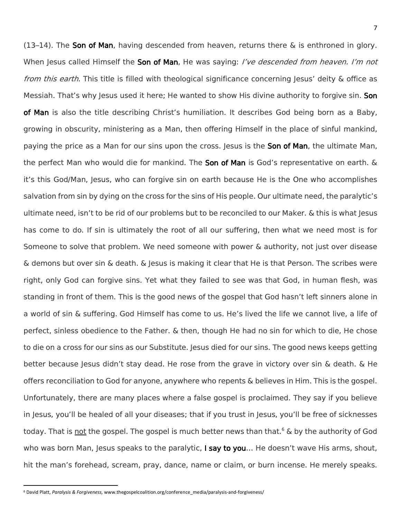(13–14). The Son of Man, having descended from heaven, returns there  $\&$  is enthroned in glory. When Jesus called Himself the Son of Man, He was saying: *I've descended from heaven. I'm not* from this earth. This title is filled with theological significance concerning Jesus' deity & office as Messiah. That's why Jesus used it here; He wanted to show His divine authority to forgive sin. Son of Man is also the title describing Christ's humiliation. It describes God being born as a Baby, growing in obscurity, ministering as a Man, then offering Himself in the place of sinful mankind, paying the price as a Man for our sins upon the cross. Jesus is the Son of Man, the ultimate Man, the perfect Man who would die for mankind. The Son of Man is God's representative on earth. & it's this God/Man, Jesus, who can forgive sin on earth because He is the One who accomplishes salvation from sin by dying on the cross for the sins of His people. Our ultimate need, the paralytic's ultimate need, isn't to be rid of our problems but to be reconciled to our Maker. & this is what Jesus has come to do. If sin is ultimately the root of all our suffering, then what we need most is for Someone to solve that problem. We need someone with power & authority, not just over disease & demons but over sin & death. & Jesus is making it clear that He is that Person. The scribes were right, only God can forgive sins. Yet what they failed to see was that God, in human flesh, was standing in front of them. This is the good news of the gospel that God hasn't left sinners alone in a world of sin & suffering. God Himself has come to us. He's lived the life we cannot live, a life of perfect, sinless obedience to the Father. & then, though He had no sin for which to die, He chose to die on a cross for our sins as our Substitute. Jesus died for our sins. The good news keeps getting better because Jesus didn't stay dead. He rose from the grave in victory over sin & death. & He offers reconciliation to God for anyone, anywhere who repents & believes in Him. This is the gospel. Unfortunately, there are many places where a false gospel is proclaimed. They say if you believe in Jesus, you'll be healed of all your diseases; that if you trust in Jesus, you'll be free of sicknesses today. That is not the gospel. The gospel is much better news than that.<sup>6</sup> & by the authority of God who was born Man, Jesus speaks to the paralytic, I say to you... He doesn't wave His arms, shout, hit the man's forehead, scream, pray, dance, name or claim, or burn incense. He merely speaks.

 $\overline{a}$ 

<sup>6</sup> David Platt, *Paralysis & Forgiveness,* www.thegospelcoalition.org/conference\_media/paralysis-and-forgiveness/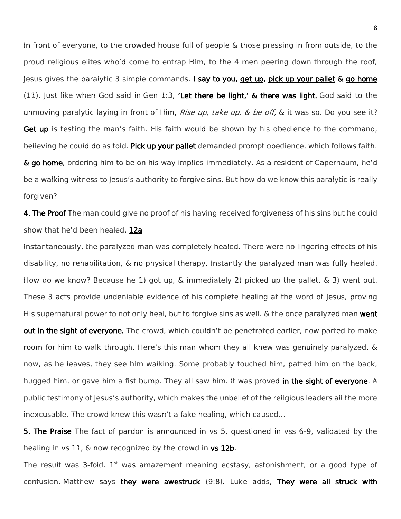In front of everyone, to the crowded house full of people & those pressing in from outside, to the proud religious elites who'd come to entrap Him, to the 4 men peering down through the roof, Jesus gives the paralytic 3 simple commands. I say to you, get up, pick up your pallet & go home (11). Just like when God said in Gen 1:3, 'Let there be light,' & there was light. God said to the unmoving paralytic laying in front of Him, *Rise up, take up,*  $\&$  *be off*,  $\&$  it was so. Do you see it? Get up is testing the man's faith. His faith would be shown by his obedience to the command, believing he could do as told. Pick up your pallet demanded prompt obedience, which follows faith. & go home, ordering him to be on his way implies immediately. As a resident of Capernaum, he'd be a walking witness to Jesus's authority to forgive sins. But how do we know this paralytic is really forgiven?

4. The Proof The man could give no proof of his having received forgiveness of his sins but he could show that he'd been healed. 12a

Instantaneously, the paralyzed man was completely healed. There were no lingering effects of his disability, no rehabilitation, & no physical therapy. Instantly the paralyzed man was fully healed. How do we know? Because he 1) got up, & immediately 2) picked up the pallet, & 3) went out. These 3 acts provide undeniable evidence of his complete healing at the word of Jesus, proving His supernatural power to not only heal, but to forgive sins as well. & the once paralyzed man went out in the sight of everyone. The crowd, which couldn't be penetrated earlier, now parted to make room for him to walk through. Here's this man whom they all knew was genuinely paralyzed. & now, as he leaves, they see him walking. Some probably touched him, patted him on the back, hugged him, or gave him a fist bump. They all saw him. It was proved in the sight of everyone. A public testimony of Jesus's authority, which makes the unbelief of the religious leaders all the more inexcusable. The crowd knew this wasn't a fake healing, which caused...

5. The Praise The fact of pardon is announced in vs 5, questioned in vss 6-9, validated by the healing in vs 11, & now recognized by the crowd in vs 12b.

The result was 3-fold.  $1<sup>st</sup>$  was amazement meaning ecstasy, astonishment, or a good type of confusion. Matthew says they were awestruck (9:8). Luke adds, They were all struck with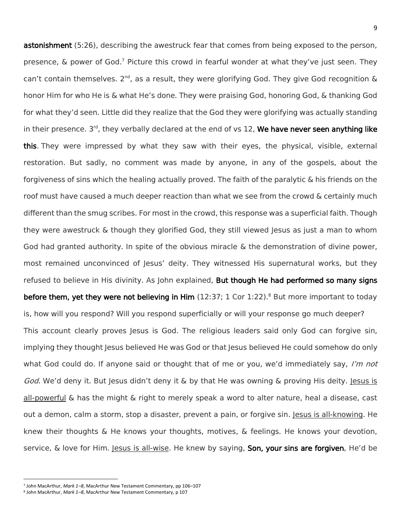astonishment (5:26), describing the awestruck fear that comes from being exposed to the person, presence, & power of God.<sup>7</sup> Picture this crowd in fearful wonder at what they've just seen. They can't contain themselves. 2<sup>nd</sup>, as a result, they were glorifying God. They give God recognition  $\&$ honor Him for who He is & what He's done. They were praising God, honoring God, & thanking God for what they'd seen. Little did they realize that the God they were glorifying was actually standing in their presence. 3<sup>rd</sup>, they verbally declared at the end of vs 12, We have never seen anything like this. They were impressed by what they saw with their eyes, the physical, visible, external restoration. But sadly, no comment was made by anyone, in any of the gospels, about the forgiveness of sins which the healing actually proved. The faith of the paralytic & his friends on the roof must have caused a much deeper reaction than what we see from the crowd & certainly much different than the smug scribes. For most in the crowd, this response was a superficial faith. Though they were awestruck & though they glorified God, they still viewed Jesus as just a man to whom God had granted authority. In spite of the obvious miracle & the demonstration of divine power, most remained unconvinced of Jesus' deity. They witnessed His supernatural works, but they refused to believe in His divinity. As John explained, **But though He had performed so many signs** before them, yet they were not believing in Him  $(12:37; 1$  Cor  $1:22)$ .<sup>8</sup> But more important to today is, how will you respond? Will you respond superficially or will your response go much deeper? This account clearly proves Jesus is God. The religious leaders said only God can forgive sin, implying they thought Jesus believed He was God or that Jesus believed He could somehow do only what God could do. If anyone said or thought that of me or you, we'd immediately say, I'm not God. We'd deny it. But Jesus didn't deny it & by that He was owning & proving His deity. Jesus is all-powerful & has the might & right to merely speak a word to alter nature, heal a disease, cast out a demon, calm a storm, stop a disaster, prevent a pain, or forgive sin. Jesus is all-knowing. He knew their thoughts & He knows your thoughts, motives, & feelings. He knows your devotion, service, & love for Him. Jesus is all-wise. He knew by saying, **Son, your sins are forgiven**, He'd be

 $\overline{\phantom{a}}$ 

<sup>7</sup> John MacArthur, *Mark 1–8*, MacArthur New Testament Commentary, pp 106–107

<sup>8</sup> John MacArthur, *Mark 1–8*, MacArthur New Testament Commentary, p 107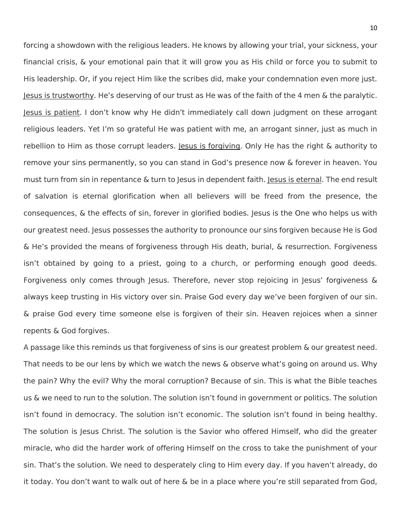forcing a showdown with the religious leaders. He knows by allowing your trial, your sickness, your financial crisis, & your emotional pain that it will grow you as His child or force you to submit to His leadership. Or, if you reject Him like the scribes did, make your condemnation even more just. Jesus is trustworthy. He's deserving of our trust as He was of the faith of the 4 men & the paralytic. Jesus is patient. I don't know why He didn't immediately call down judgment on these arrogant religious leaders. Yet I'm so grateful He was patient with me, an arrogant sinner, just as much in rebellion to Him as those corrupt leaders. Jesus is forgiving. Only He has the right & authority to remove your sins permanently, so you can stand in God's presence now & forever in heaven. You must turn from sin in repentance & turn to Jesus in dependent faith. Jesus is eternal. The end result of salvation is eternal glorification when all believers will be freed from the presence, the consequences, & the effects of sin, forever in glorified bodies. Jesus is the One who helps us with our greatest need. Jesus possesses the authority to pronounce our sins forgiven because He is God & He's provided the means of forgiveness through His death, burial, & resurrection. Forgiveness isn't obtained by going to a priest, going to a church, or performing enough good deeds. Forgiveness only comes through Jesus. Therefore, never stop rejoicing in Jesus' forgiveness & always keep trusting in His victory over sin. Praise God every day we've been forgiven of our sin. & praise God every time someone else is forgiven of their sin. Heaven rejoices when a sinner repents & God forgives.

A passage like this reminds us that forgiveness of sins is our greatest problem & our greatest need. That needs to be our lens by which we watch the news & observe what's going on around us. Why the pain? Why the evil? Why the moral corruption? Because of sin. This is what the Bible teaches us & we need to run to the solution. The solution isn't found in government or politics. The solution isn't found in democracy. The solution isn't economic. The solution isn't found in being healthy. The solution is Jesus Christ. The solution is the Savior who offered Himself, who did the greater miracle, who did the harder work of offering Himself on the cross to take the punishment of your sin. That's the solution. We need to desperately cling to Him every day. If you haven't already, do it today. You don't want to walk out of here & be in a place where you're still separated from God,